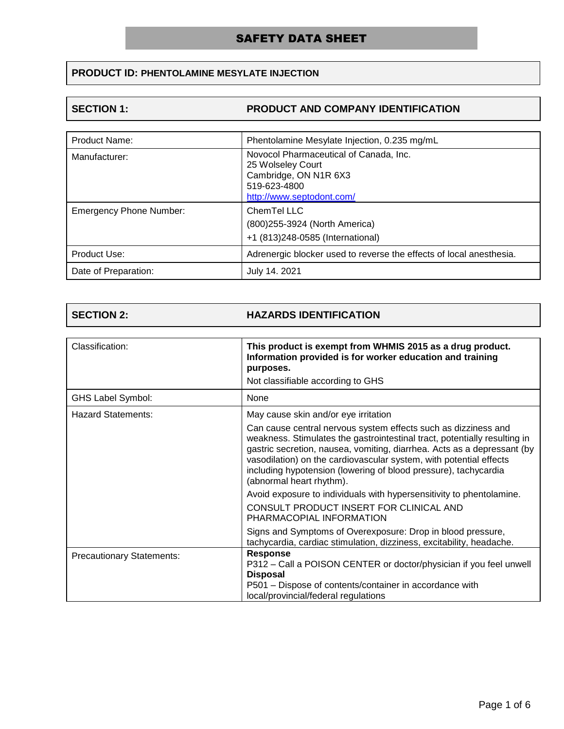# **PRODUCT ID: PHENTOLAMINE MESYLATE INJECTION**

### **SECTION 1: PRODUCT AND COMPANY IDENTIFICATION**

| <b>Product Name:</b>           | Phentolamine Mesylate Injection, 0.235 mg/mL                                                                                      |
|--------------------------------|-----------------------------------------------------------------------------------------------------------------------------------|
| Manufacturer:                  | Novocol Pharmaceutical of Canada, Inc.<br>25 Wolseley Court<br>Cambridge, ON N1R 6X3<br>519-623-4800<br>http://www.septodont.com/ |
| <b>Emergency Phone Number:</b> | ChemTel LLC<br>(800) 255-3924 (North America)<br>+1 (813)248-0585 (International)                                                 |
| Product Use:                   | Adrenergic blocker used to reverse the effects of local anesthesia.                                                               |
| Date of Preparation:           | July 14, 2021                                                                                                                     |

### **SECTION 2: HAZARDS IDENTIFICATION**

| Classification:                  | This product is exempt from WHMIS 2015 as a drug product.<br>Information provided is for worker education and training<br>purposes.                                                                                                                                                                                                                                                         |
|----------------------------------|---------------------------------------------------------------------------------------------------------------------------------------------------------------------------------------------------------------------------------------------------------------------------------------------------------------------------------------------------------------------------------------------|
|                                  | Not classifiable according to GHS                                                                                                                                                                                                                                                                                                                                                           |
| <b>GHS Label Symbol:</b>         | None                                                                                                                                                                                                                                                                                                                                                                                        |
| <b>Hazard Statements:</b>        | May cause skin and/or eye irritation                                                                                                                                                                                                                                                                                                                                                        |
|                                  | Can cause central nervous system effects such as dizziness and<br>weakness. Stimulates the gastrointestinal tract, potentially resulting in<br>gastric secretion, nausea, vomiting, diarrhea. Acts as a depressant (by<br>vasodilation) on the cardiovascular system, with potential effects<br>including hypotension (lowering of blood pressure), tachycardia<br>(abnormal heart rhythm). |
|                                  | Avoid exposure to individuals with hypersensitivity to phentolamine.                                                                                                                                                                                                                                                                                                                        |
|                                  | CONSULT PRODUCT INSERT FOR CLINICAL AND<br>PHARMACOPIAL INFORMATION                                                                                                                                                                                                                                                                                                                         |
|                                  | Signs and Symptoms of Overexposure: Drop in blood pressure,<br>tachycardia, cardiac stimulation, dizziness, excitability, headache.                                                                                                                                                                                                                                                         |
| <b>Precautionary Statements:</b> | <b>Response</b><br>P312 – Call a POISON CENTER or doctor/physician if you feel unwell<br><b>Disposal</b><br>P501 – Dispose of contents/container in accordance with<br>local/provincial/federal regulations                                                                                                                                                                                 |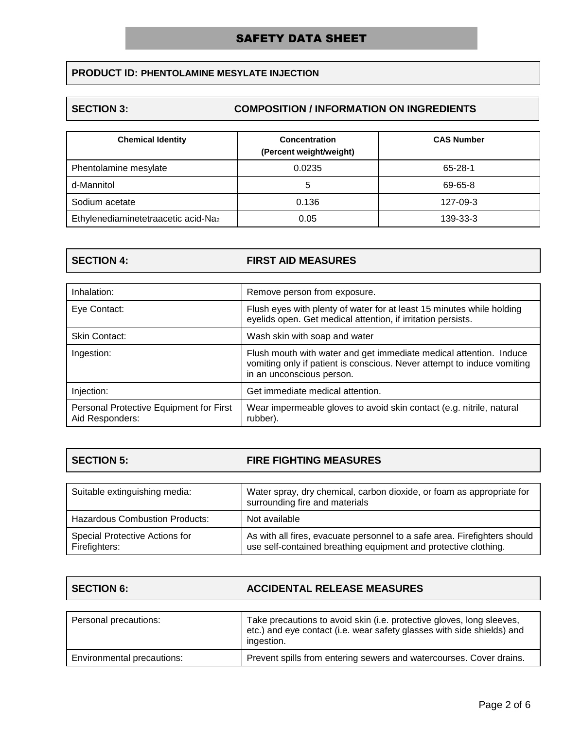# **PRODUCT ID: PHENTOLAMINE MESYLATE INJECTION**

### **SECTION 3: COMPOSITION / INFORMATION ON INGREDIENTS**

| <b>Chemical Identity</b>            | <b>Concentration</b><br>(Percent weight/weight) | <b>CAS Number</b> |
|-------------------------------------|-------------------------------------------------|-------------------|
| Phentolamine mesylate               | 0.0235                                          | $65 - 28 - 1$     |
| d-Mannitol                          | 5                                               | 69-65-8           |
| Sodium acetate                      | 0.136                                           | 127-09-3          |
| Ethylenediaminetetraacetic acid-Na2 | 0.05                                            | 139-33-3          |

### **SECTION 4: FIRST AID MEASURES**

| Inhalation:                                                | Remove person from exposure.                                                                                                                                               |
|------------------------------------------------------------|----------------------------------------------------------------------------------------------------------------------------------------------------------------------------|
| Eye Contact:                                               | Flush eyes with plenty of water for at least 15 minutes while holding<br>eyelids open. Get medical attention, if irritation persists.                                      |
| <b>Skin Contact:</b>                                       | Wash skin with soap and water                                                                                                                                              |
| Ingestion:                                                 | Flush mouth with water and get immediate medical attention. Induce<br>vomiting only if patient is conscious. Never attempt to induce vomiting<br>in an unconscious person. |
| Injection:                                                 | Get immediate medical attention.                                                                                                                                           |
| Personal Protective Equipment for First<br>Aid Responders: | Wear impermeable gloves to avoid skin contact (e.g. nitrile, natural<br>rubber).                                                                                           |

# **SECTION 5: FIRE FIGHTING MEASURES**

| Suitable extinguishing media:                          | Water spray, dry chemical, carbon dioxide, or foam as appropriate for<br>surrounding fire and materials                                      |
|--------------------------------------------------------|----------------------------------------------------------------------------------------------------------------------------------------------|
| <b>Hazardous Combustion Products:</b>                  | Not available                                                                                                                                |
| <b>Special Protective Actions for</b><br>Firefighters: | As with all fires, evacuate personnel to a safe area. Firefighters should<br>use self-contained breathing equipment and protective clothing. |

| <b>SECTION 6:</b> | <b>ACCIDENTAL RELEASE MEASURES</b> |
|-------------------|------------------------------------|
|-------------------|------------------------------------|

| Personal precautions:      | Take precautions to avoid skin (i.e. protective gloves, long sleeves,<br>etc.) and eye contact (i.e. wear safety glasses with side shields) and<br>ingestion. |
|----------------------------|---------------------------------------------------------------------------------------------------------------------------------------------------------------|
| Environmental precautions: | Prevent spills from entering sewers and watercourses. Cover drains.                                                                                           |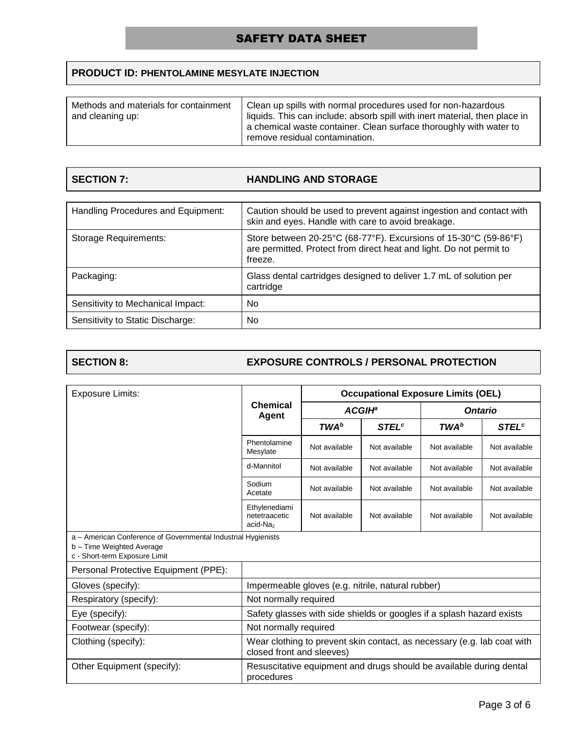# **PRODUCT ID: PHENTOLAMINE MESYLATE INJECTION**

| Methods and materials for containment<br>and cleaning up: | Clean up spills with normal procedures used for non-hazardous<br>liquids. This can include: absorb spill with inert material, then place in<br>a chemical waste container. Clean surface thoroughly with water to<br>remove residual contamination. |
|-----------------------------------------------------------|-----------------------------------------------------------------------------------------------------------------------------------------------------------------------------------------------------------------------------------------------------|
|-----------------------------------------------------------|-----------------------------------------------------------------------------------------------------------------------------------------------------------------------------------------------------------------------------------------------------|

### **HANDLING AND STORAGE**

| Handling Procedures and Equipment: | Caution should be used to prevent against ingestion and contact with<br>skin and eyes. Handle with care to avoid breakage.                         |
|------------------------------------|----------------------------------------------------------------------------------------------------------------------------------------------------|
| Storage Requirements:              | Store between 20-25°C (68-77°F). Excursions of 15-30°C (59-86°F)<br>are permitted. Protect from direct heat and light. Do not permit to<br>freeze. |
| Packaging:                         | Glass dental cartridges designed to deliver 1.7 mL of solution per<br>cartridge                                                                    |
| Sensitivity to Mechanical Impact:  | No                                                                                                                                                 |
| Sensitivity to Static Discharge:   | No                                                                                                                                                 |

# **SECTION 8: EXPOSURE CONTROLS / PERSONAL PROTECTION**

| <b>Exposure Limits:</b>                                                                                                     | <b>Chemical</b><br>Agent                                                                             | <b>Occupational Exposure Limits (OEL)</b>         |                         |                                                                     |                          |
|-----------------------------------------------------------------------------------------------------------------------------|------------------------------------------------------------------------------------------------------|---------------------------------------------------|-------------------------|---------------------------------------------------------------------|--------------------------|
|                                                                                                                             |                                                                                                      | <b>ACGIH</b> <sup>a</sup>                         |                         | <b>Ontario</b>                                                      |                          |
|                                                                                                                             |                                                                                                      | <b>TWA</b> b                                      | <b>STEL<sup>c</sup></b> | <b>TWA</b> b                                                        | <b>STEL</b> <sup>c</sup> |
|                                                                                                                             | Phentolamine<br>Mesylate                                                                             | Not available                                     | Not available           | Not available                                                       | Not available            |
|                                                                                                                             | d-Mannitol                                                                                           | Not available                                     | Not available           | Not available                                                       | Not available            |
|                                                                                                                             | Sodium<br>Acetate                                                                                    | Not available                                     | Not available           | Not available                                                       | Not available            |
|                                                                                                                             | Ethylenediami<br>netetraacetic<br>acid-Na <sub>2</sub>                                               | Not available                                     | Not available           | Not available                                                       | Not available            |
| a - American Conference of Governmental Industrial Hygienists<br>b - Time Weighted Average<br>c - Short-term Exposure Limit |                                                                                                      |                                                   |                         |                                                                     |                          |
| Personal Protective Equipment (PPE):                                                                                        |                                                                                                      |                                                   |                         |                                                                     |                          |
| Gloves (specify):                                                                                                           |                                                                                                      | Impermeable gloves (e.g. nitrile, natural rubber) |                         |                                                                     |                          |
| Respiratory (specify):                                                                                                      | Not normally required                                                                                |                                                   |                         |                                                                     |                          |
| Eye (specify):                                                                                                              | Safety glasses with side shields or googles if a splash hazard exists                                |                                                   |                         |                                                                     |                          |
| Footwear (specify):                                                                                                         | Not normally required                                                                                |                                                   |                         |                                                                     |                          |
| Clothing (specify):                                                                                                         | Wear clothing to prevent skin contact, as necessary (e.g. lab coat with<br>closed front and sleeves) |                                                   |                         |                                                                     |                          |
| Other Equipment (specify):                                                                                                  | procedures                                                                                           |                                                   |                         | Resuscitative equipment and drugs should be available during dental |                          |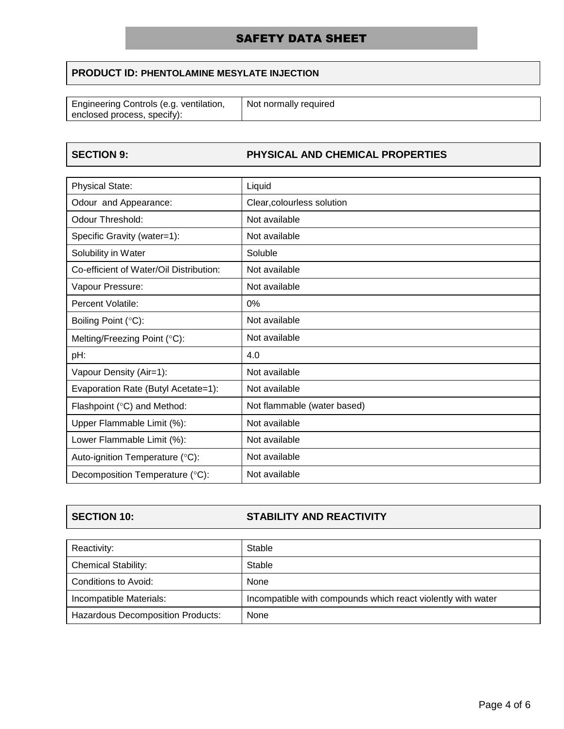# **PRODUCT ID: PHENTOLAMINE MESYLATE INJECTION**

| Engineering Controls (e.g. ventilation, | Not normally required |
|-----------------------------------------|-----------------------|
|                                         |                       |
| enclosed process, specify):             |                       |
|                                         |                       |

# **SECTION 9: PHYSICAL AND CHEMICAL PROPERTIES**

| <b>Physical State:</b>                  | Liquid                      |
|-----------------------------------------|-----------------------------|
| Odour and Appearance:                   | Clear, colourless solution  |
| Odour Threshold:                        | Not available               |
| Specific Gravity (water=1):             | Not available               |
| Solubility in Water                     | Soluble                     |
| Co-efficient of Water/Oil Distribution: | Not available               |
| Vapour Pressure:                        | Not available               |
| Percent Volatile:                       | 0%                          |
| Boiling Point (°C):                     | Not available               |
| Melting/Freezing Point (°C):            | Not available               |
| pH:                                     | 4.0                         |
| Vapour Density (Air=1):                 | Not available               |
| Evaporation Rate (Butyl Acetate=1):     | Not available               |
| Flashpoint (°C) and Method:             | Not flammable (water based) |
| Upper Flammable Limit (%):              | Not available               |
| Lower Flammable Limit (%):              | Not available               |
| Auto-ignition Temperature (°C):         | Not available               |
| Decomposition Temperature (°C):         | Not available               |

# **SECTION 10: STABILITY AND REACTIVITY**

| Reactivity:                              | Stable                                                       |
|------------------------------------------|--------------------------------------------------------------|
| <b>Chemical Stability:</b>               | Stable                                                       |
| Conditions to Avoid:                     | None                                                         |
| Incompatible Materials:                  | Incompatible with compounds which react violently with water |
| <b>Hazardous Decomposition Products:</b> | None                                                         |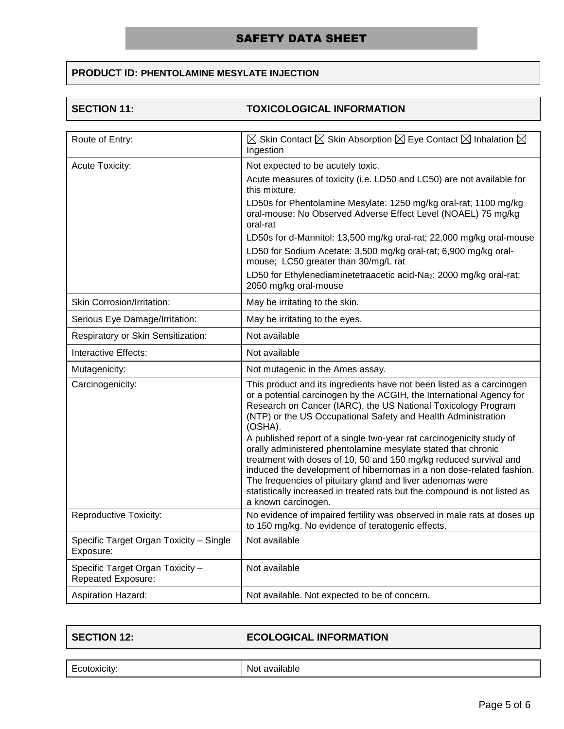# **PRODUCT ID: PHENTOLAMINE MESYLATE INJECTION**

# **SECTION 11: TOXICOLOGICAL INFORMATION**

| Route of Entry:                                               | $\boxtimes$ Skin Contact $\boxtimes$ Skin Absorption $\boxtimes$ Eye Contact $\boxtimes$ Inhalation $\boxtimes$<br>Ingestion                                                                                                                                                                                                                                                                                                                                                                                                                                                                                                                                                                                                                       |
|---------------------------------------------------------------|----------------------------------------------------------------------------------------------------------------------------------------------------------------------------------------------------------------------------------------------------------------------------------------------------------------------------------------------------------------------------------------------------------------------------------------------------------------------------------------------------------------------------------------------------------------------------------------------------------------------------------------------------------------------------------------------------------------------------------------------------|
| Acute Toxicity:                                               | Not expected to be acutely toxic.                                                                                                                                                                                                                                                                                                                                                                                                                                                                                                                                                                                                                                                                                                                  |
|                                                               | Acute measures of toxicity (i.e. LD50 and LC50) are not available for<br>this mixture.                                                                                                                                                                                                                                                                                                                                                                                                                                                                                                                                                                                                                                                             |
|                                                               | LD50s for Phentolamine Mesylate: 1250 mg/kg oral-rat; 1100 mg/kg<br>oral-mouse; No Observed Adverse Effect Level (NOAEL) 75 mg/kg<br>oral-rat                                                                                                                                                                                                                                                                                                                                                                                                                                                                                                                                                                                                      |
|                                                               | LD50s for d-Mannitol: 13,500 mg/kg oral-rat; 22,000 mg/kg oral-mouse                                                                                                                                                                                                                                                                                                                                                                                                                                                                                                                                                                                                                                                                               |
|                                                               | LD50 for Sodium Acetate: 3,500 mg/kg oral-rat; 6,900 mg/kg oral-<br>mouse; LC50 greater than 30/mg/L rat                                                                                                                                                                                                                                                                                                                                                                                                                                                                                                                                                                                                                                           |
|                                                               | LD50 for Ethylenediaminetetraacetic acid-Na2: 2000 mg/kg oral-rat;<br>2050 mg/kg oral-mouse                                                                                                                                                                                                                                                                                                                                                                                                                                                                                                                                                                                                                                                        |
| Skin Corrosion/Irritation:                                    | May be irritating to the skin.                                                                                                                                                                                                                                                                                                                                                                                                                                                                                                                                                                                                                                                                                                                     |
| Serious Eye Damage/Irritation:                                | May be irritating to the eyes.                                                                                                                                                                                                                                                                                                                                                                                                                                                                                                                                                                                                                                                                                                                     |
| Respiratory or Skin Sensitization:                            | Not available                                                                                                                                                                                                                                                                                                                                                                                                                                                                                                                                                                                                                                                                                                                                      |
| Interactive Effects:                                          | Not available                                                                                                                                                                                                                                                                                                                                                                                                                                                                                                                                                                                                                                                                                                                                      |
| Mutagenicity:                                                 | Not mutagenic in the Ames assay.                                                                                                                                                                                                                                                                                                                                                                                                                                                                                                                                                                                                                                                                                                                   |
| Carcinogenicity:                                              | This product and its ingredients have not been listed as a carcinogen<br>or a potential carcinogen by the ACGIH, the International Agency for<br>Research on Cancer (IARC), the US National Toxicology Program<br>(NTP) or the US Occupational Safety and Health Administration<br>(OSHA).<br>A published report of a single two-year rat carcinogenicity study of<br>orally administered phentolamine mesylate stated that chronic<br>treatment with doses of 10, 50 and 150 mg/kg reduced survival and<br>induced the development of hibernomas in a non dose-related fashion.<br>The frequencies of pituitary gland and liver adenomas were<br>statistically increased in treated rats but the compound is not listed as<br>a known carcinogen. |
| <b>Reproductive Toxicity:</b>                                 | No evidence of impaired fertility was observed in male rats at doses up<br>to 150 mg/kg. No evidence of teratogenic effects.                                                                                                                                                                                                                                                                                                                                                                                                                                                                                                                                                                                                                       |
| Specific Target Organ Toxicity - Single<br>Exposure:          | Not available                                                                                                                                                                                                                                                                                                                                                                                                                                                                                                                                                                                                                                                                                                                                      |
| Specific Target Organ Toxicity -<br><b>Repeated Exposure:</b> | Not available                                                                                                                                                                                                                                                                                                                                                                                                                                                                                                                                                                                                                                                                                                                                      |
| Aspiration Hazard:                                            | Not available. Not expected to be of concern.                                                                                                                                                                                                                                                                                                                                                                                                                                                                                                                                                                                                                                                                                                      |

# **SECTION 12: ECOLOGICAL INFORMATION**

Ecotoxicity: Not available